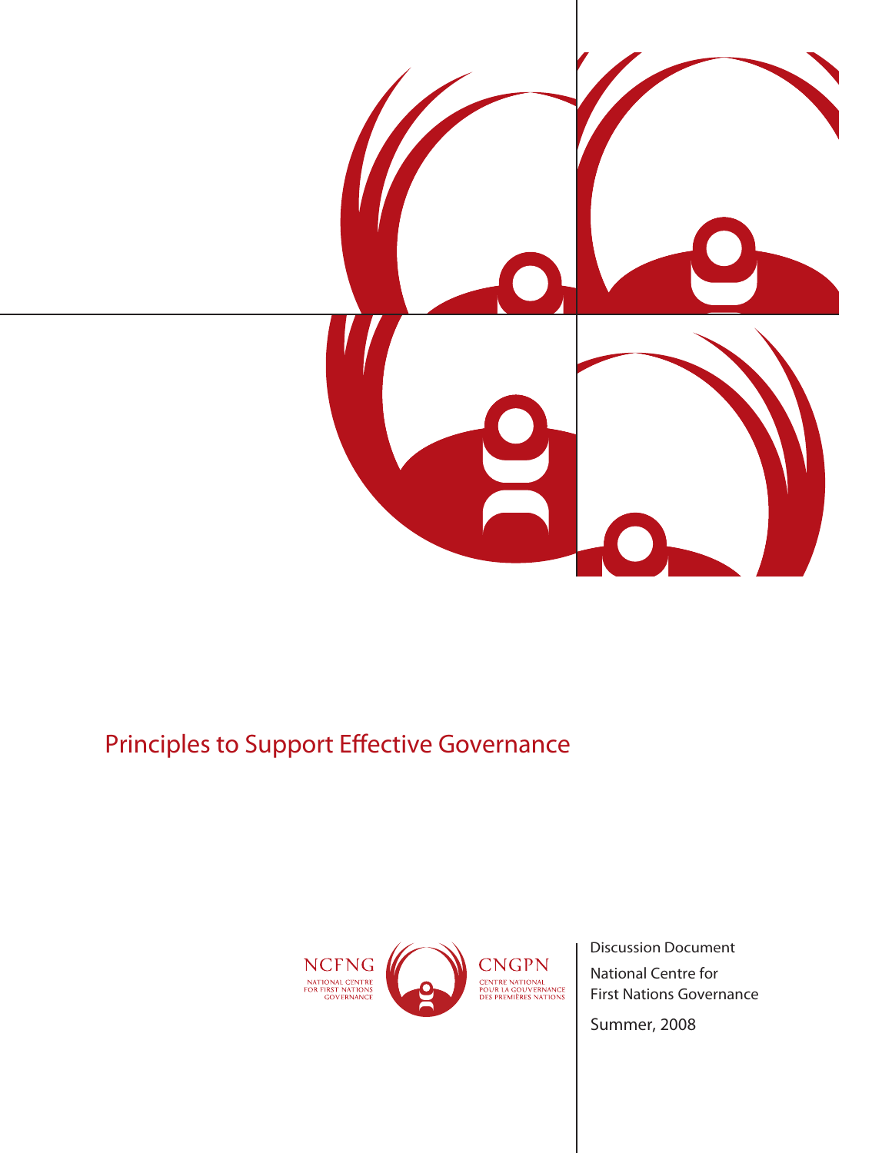

# Principles to Support Effective Governance



National Centre for First Nations Governance Discussion Document

*Summer, 2008*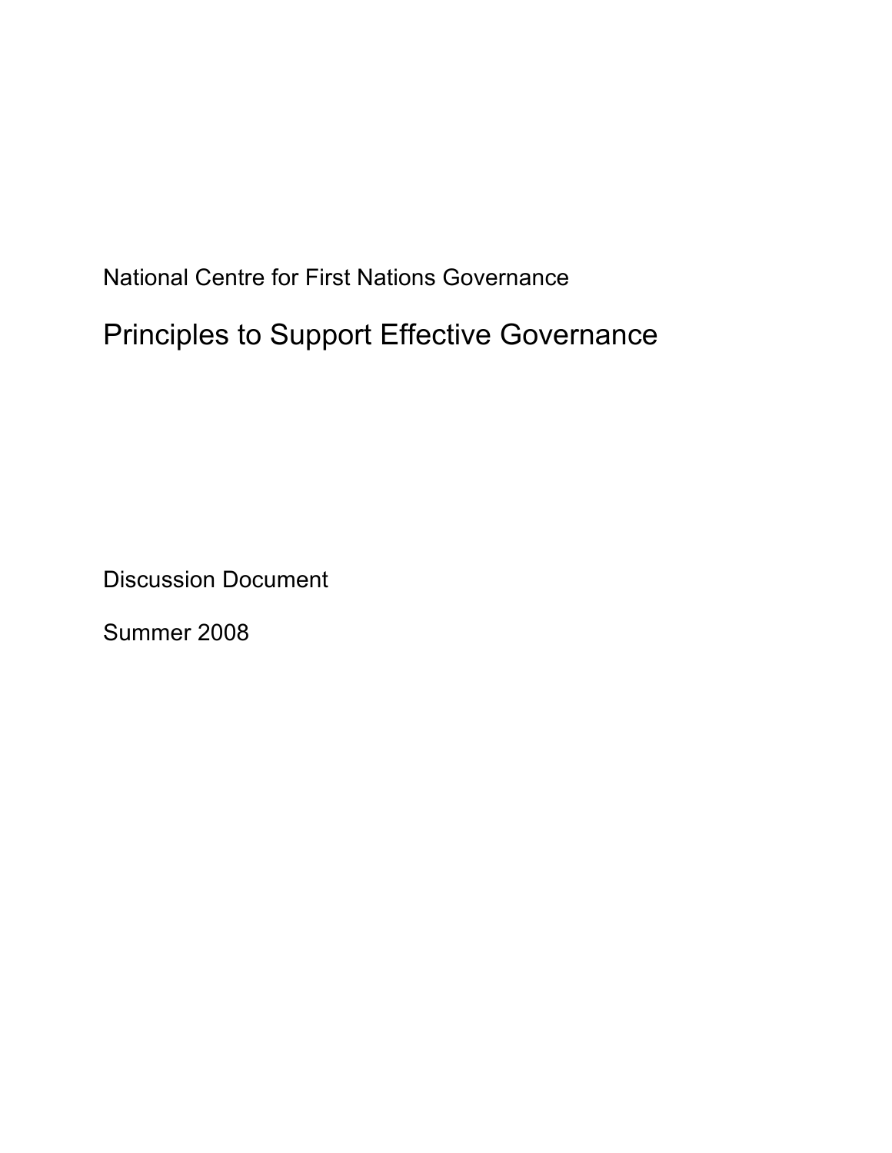National Centre for First Nations Governance Principles to Support Effective Governance

Discussion Document

Summer 2008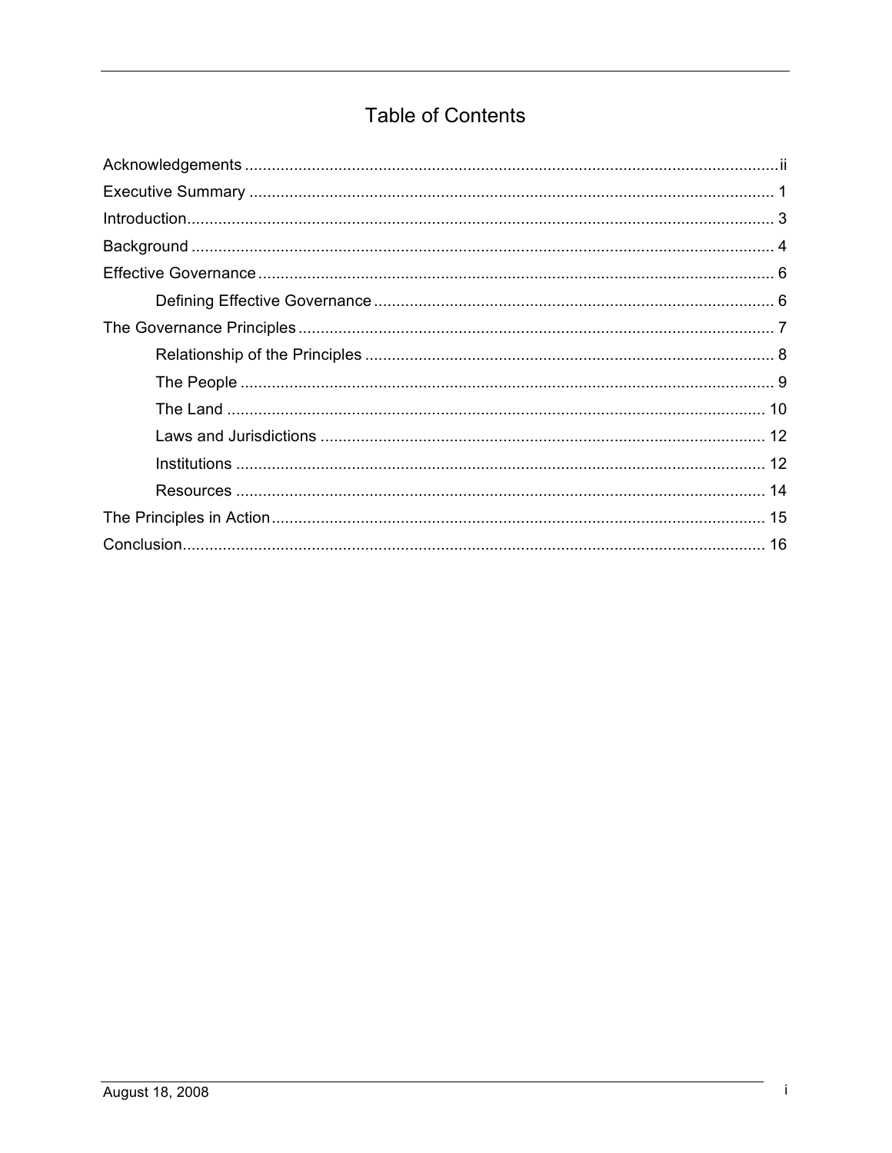## **Table of Contents**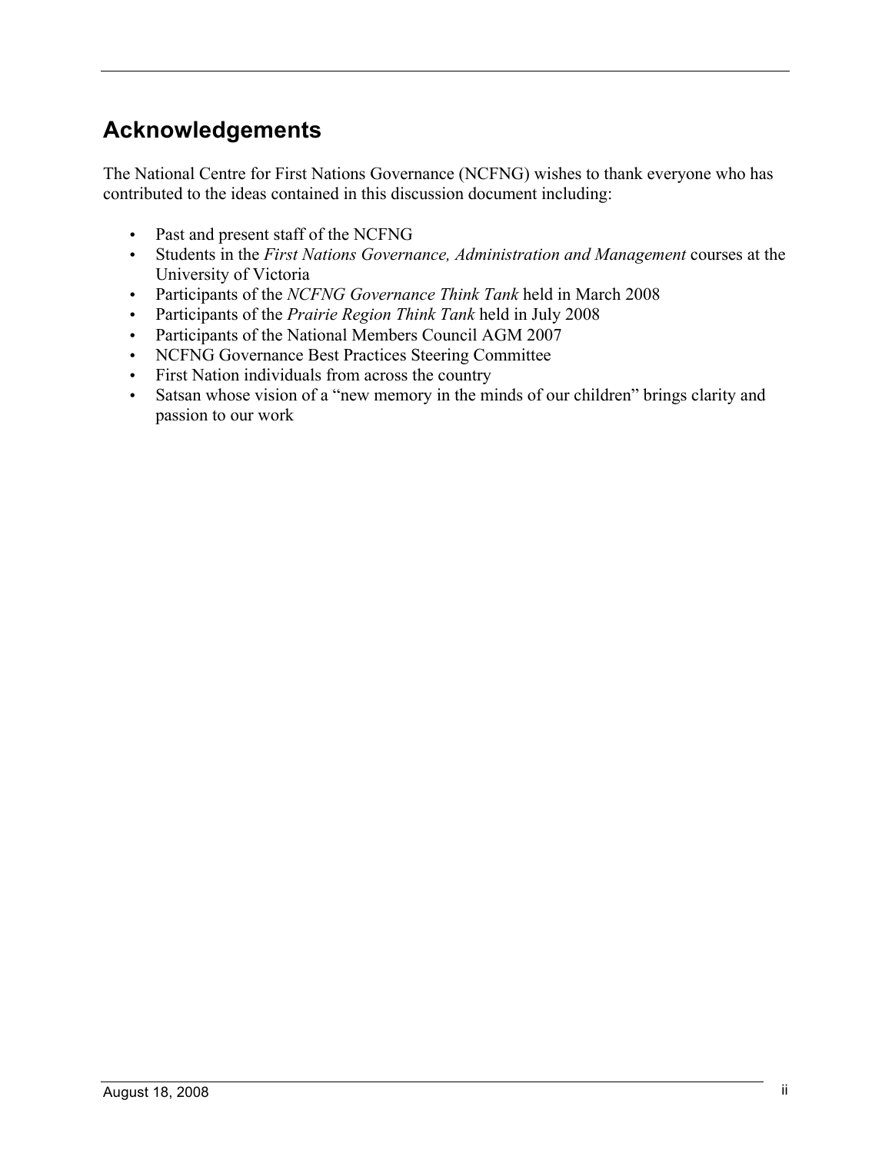# **Acknowledgements**

The National Centre for First Nations Governance (NCFNG) wishes to thank everyone who has contributed to the ideas contained in this discussion document including:

- Past and present staff of the NCFNG
- Students in the *First Nations Governance, Administration and Management* courses at the University of Victoria
- Participants of the *NCFNG Governance Think Tank* held in March 2008
- Participants of the *Prairie Region Think Tank* held in July 2008
- Participants of the National Members Council AGM 2007
- NCFNG Governance Best Practices Steering Committee
- First Nation individuals from across the country
- Satsan whose vision of a "new memory in the minds of our children" brings clarity and passion to our work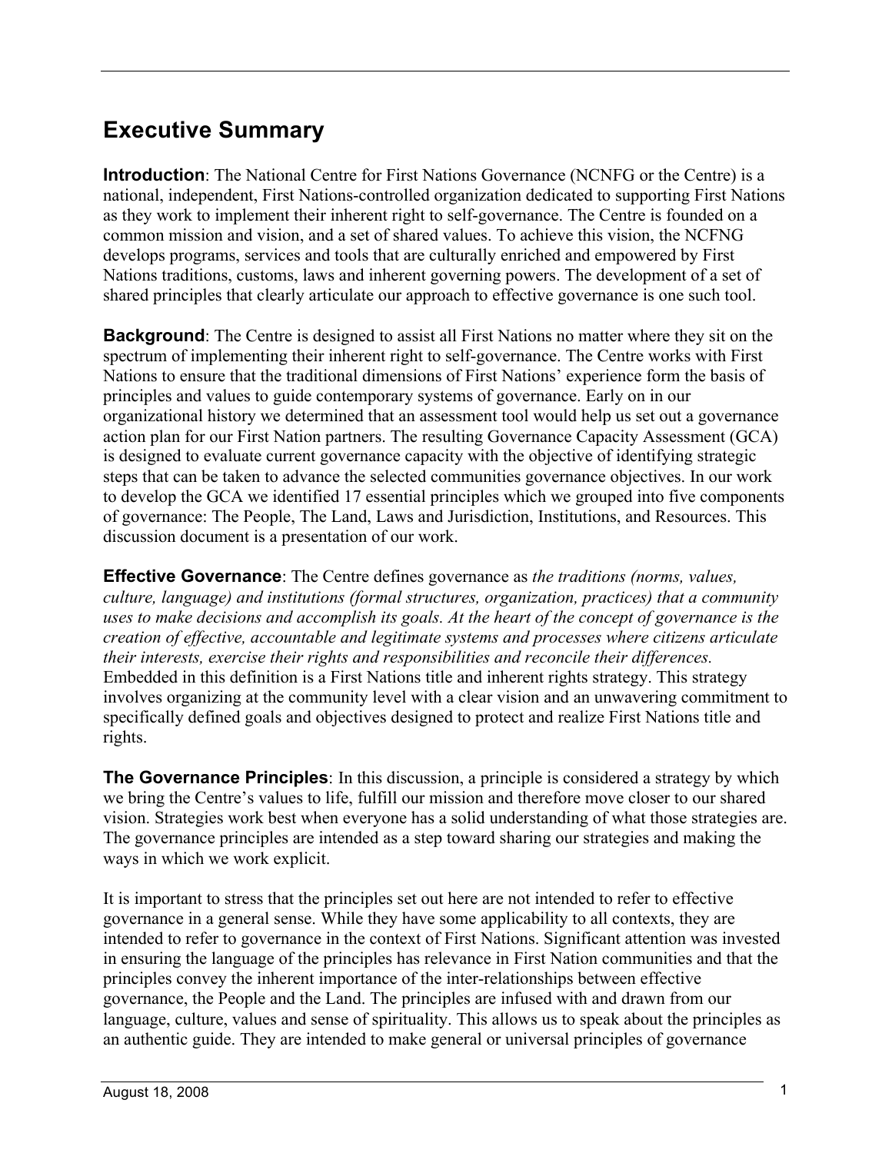## **Executive Summary**

**Introduction**: The National Centre for First Nations Governance (NCNFG or the Centre) is a national, independent, First Nations-controlled organization dedicated to supporting First Nations as they work to implement their inherent right to self-governance. The Centre is founded on a common mission and vision, and a set of shared values. To achieve this vision, the NCFNG develops programs, services and tools that are culturally enriched and empowered by First Nations traditions, customs, laws and inherent governing powers. The development of a set of shared principles that clearly articulate our approach to effective governance is one such tool.

**Background**: The Centre is designed to assist all First Nations no matter where they sit on the spectrum of implementing their inherent right to self-governance. The Centre works with First Nations to ensure that the traditional dimensions of First Nations' experience form the basis of principles and values to guide contemporary systems of governance. Early on in our organizational history we determined that an assessment tool would help us set out a governance action plan for our First Nation partners. The resulting Governance Capacity Assessment (GCA) is designed to evaluate current governance capacity with the objective of identifying strategic steps that can be taken to advance the selected communities governance objectives. In our work to develop the GCA we identified 17 essential principles which we grouped into five components of governance: The People, The Land, Laws and Jurisdiction, Institutions, and Resources. This discussion document is a presentation of our work.

**Effective Governance**: The Centre defines governance as *the traditions (norms, values, culture, language) and institutions (formal structures, organization, practices) that a community uses to make decisions and accomplish its goals. At the heart of the concept of governance is the creation of effective, accountable and legitimate systems and processes where citizens articulate their interests, exercise their rights and responsibilities and reconcile their differences.* Embedded in this definition is a First Nations title and inherent rights strategy. This strategy involves organizing at the community level with a clear vision and an unwavering commitment to specifically defined goals and objectives designed to protect and realize First Nations title and rights.

**The Governance Principles**: In this discussion, a principle is considered a strategy by which we bring the Centre's values to life, fulfill our mission and therefore move closer to our shared vision. Strategies work best when everyone has a solid understanding of what those strategies are. The governance principles are intended as a step toward sharing our strategies and making the ways in which we work explicit.

It is important to stress that the principles set out here are not intended to refer to effective governance in a general sense. While they have some applicability to all contexts, they are intended to refer to governance in the context of First Nations. Significant attention was invested in ensuring the language of the principles has relevance in First Nation communities and that the principles convey the inherent importance of the inter-relationships between effective governance, the People and the Land. The principles are infused with and drawn from our language, culture, values and sense of spirituality. This allows us to speak about the principles as an authentic guide. They are intended to make general or universal principles of governance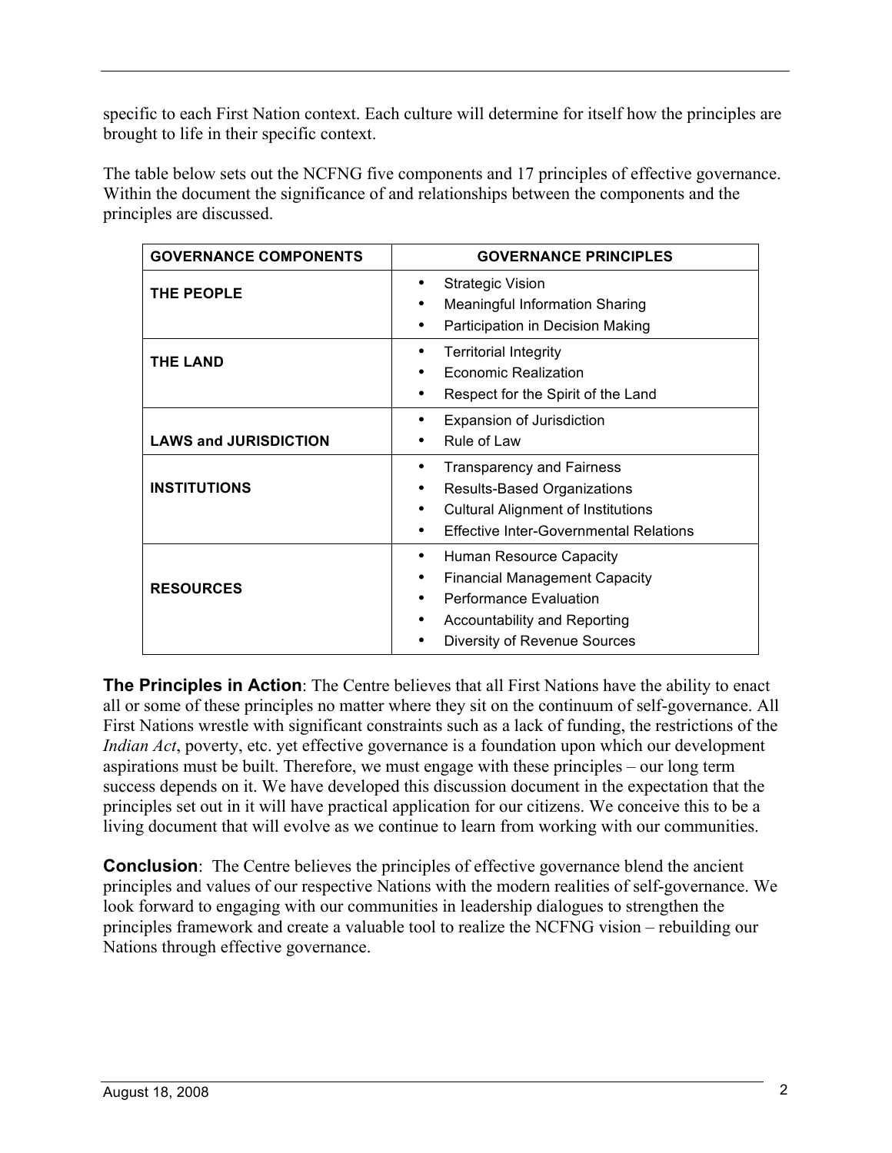specific to each First Nation context. Each culture will determine for itself how the principles are brought to life in their specific context.

The table below sets out the NCFNG five components and 17 principles of effective governance. Within the document the significance of and relationships between the components and the principles are discussed.

| <b>GOVERNANCE COMPONENTS</b> | <b>GOVERNANCE PRINCIPLES</b>                                                                                                                                              |
|------------------------------|---------------------------------------------------------------------------------------------------------------------------------------------------------------------------|
| THE PEOPLE                   | <b>Strategic Vision</b><br><b>Meaningful Information Sharing</b><br>Participation in Decision Making                                                                      |
| <b>THE LAND</b>              | <b>Territorial Integrity</b><br>Economic Realization<br>Respect for the Spirit of the Land                                                                                |
| <b>LAWS and JURISDICTION</b> | Expansion of Jurisdiction<br>Rule of Law                                                                                                                                  |
| <b>INSTITUTIONS</b>          | <b>Transparency and Fairness</b><br>٠<br><b>Results-Based Organizations</b><br><b>Cultural Alignment of Institutions</b><br><b>Effective Inter-Governmental Relations</b> |
| <b>RESOURCES</b>             | Human Resource Capacity<br><b>Financial Management Capacity</b><br><b>Performance Evaluation</b><br>Accountability and Reporting<br>Diversity of Revenue Sources          |

**The Principles in Action**: The Centre believes that all First Nations have the ability to enact all or some of these principles no matter where they sit on the continuum of self-governance. All First Nations wrestle with significant constraints such as a lack of funding, the restrictions of the *Indian Act*, poverty, etc. yet effective governance is a foundation upon which our development aspirations must be built. Therefore, we must engage with these principles – our long term success depends on it. We have developed this discussion document in the expectation that the principles set out in it will have practical application for our citizens. We conceive this to be a living document that will evolve as we continue to learn from working with our communities.

**Conclusion**: The Centre believes the principles of effective governance blend the ancient principles and values of our respective Nations with the modern realities of self-governance. We look forward to engaging with our communities in leadership dialogues to strengthen the principles framework and create a valuable tool to realize the NCFNG vision – rebuilding our Nations through effective governance.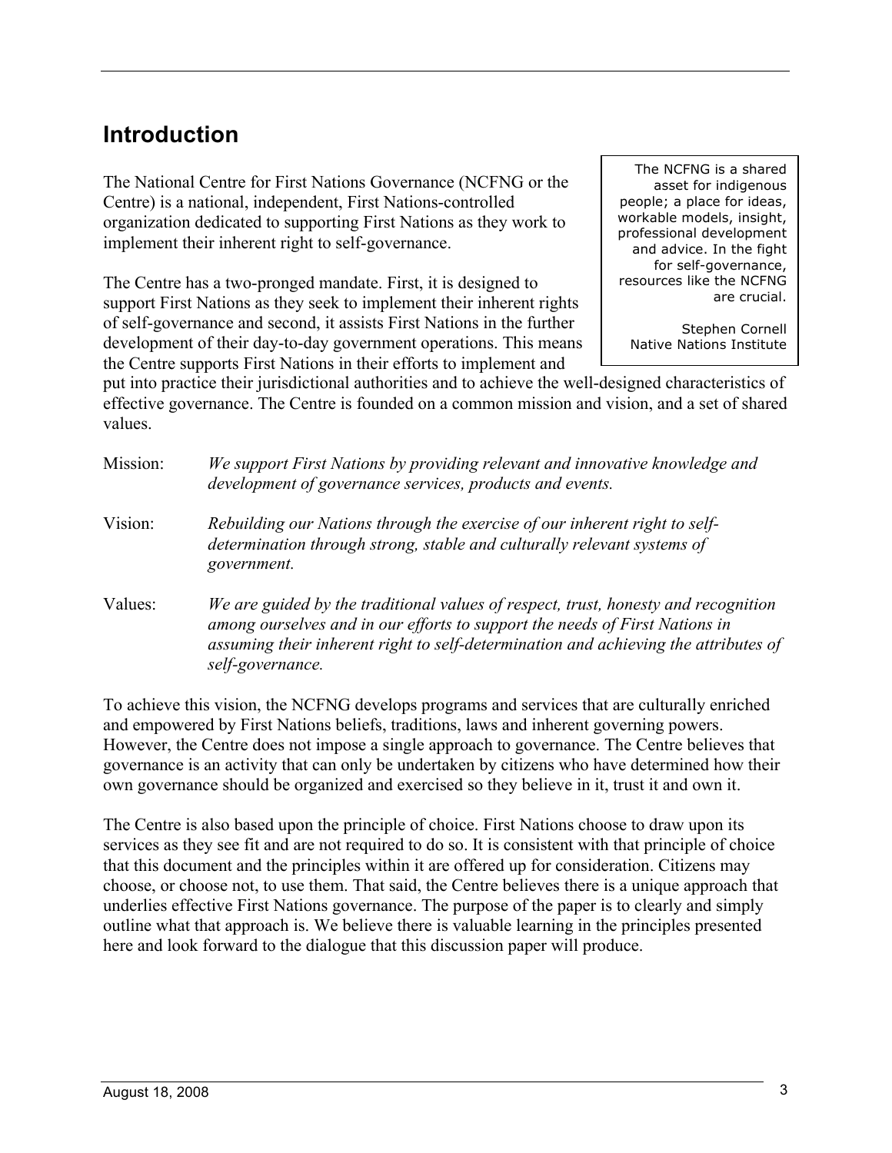### **Introduction**

The National Centre for First Nations Governance (NCFNG or the Centre) is a national, independent, First Nations-controlled organization dedicated to supporting First Nations as they work to implement their inherent right to self-governance.

The Centre has a two-pronged mandate. First, it is designed to support First Nations as they seek to implement their inherent rights of self-governance and second, it assists First Nations in the further development of their day-to-day government operations. This means the Centre supports First Nations in their efforts to implement and

The NCFNG is a shared asset for indigenous people; a place for ideas, workable models, insight, professional development and advice. In the fight for self-governance, resources like the NCFNG are crucial.

Stephen Cornell Native Nations Institute

put into practice their jurisdictional authorities and to achieve the well-designed characteristics of effective governance. The Centre is founded on a common mission and vision, and a set of shared values.

| Mission: | We support First Nations by providing relevant and innovative knowledge and<br>development of governance services, products and events.                                                                                                                                      |
|----------|------------------------------------------------------------------------------------------------------------------------------------------------------------------------------------------------------------------------------------------------------------------------------|
| Vision:  | Rebuilding our Nations through the exercise of our inherent right to self-<br>determination through strong, stable and culturally relevant systems of<br>government.                                                                                                         |
| Values:  | We are guided by the traditional values of respect, trust, honesty and recognition<br>among ourselves and in our efforts to support the needs of First Nations in<br>assuming their inherent right to self-determination and achieving the attributes of<br>self-governance. |

To achieve this vision, the NCFNG develops programs and services that are culturally enriched and empowered by First Nations beliefs, traditions, laws and inherent governing powers. However, the Centre does not impose a single approach to governance. The Centre believes that governance is an activity that can only be undertaken by citizens who have determined how their own governance should be organized and exercised so they believe in it, trust it and own it.

The Centre is also based upon the principle of choice. First Nations choose to draw upon its services as they see fit and are not required to do so. It is consistent with that principle of choice that this document and the principles within it are offered up for consideration. Citizens may choose, or choose not, to use them. That said, the Centre believes there is a unique approach that underlies effective First Nations governance. The purpose of the paper is to clearly and simply outline what that approach is. We believe there is valuable learning in the principles presented here and look forward to the dialogue that this discussion paper will produce.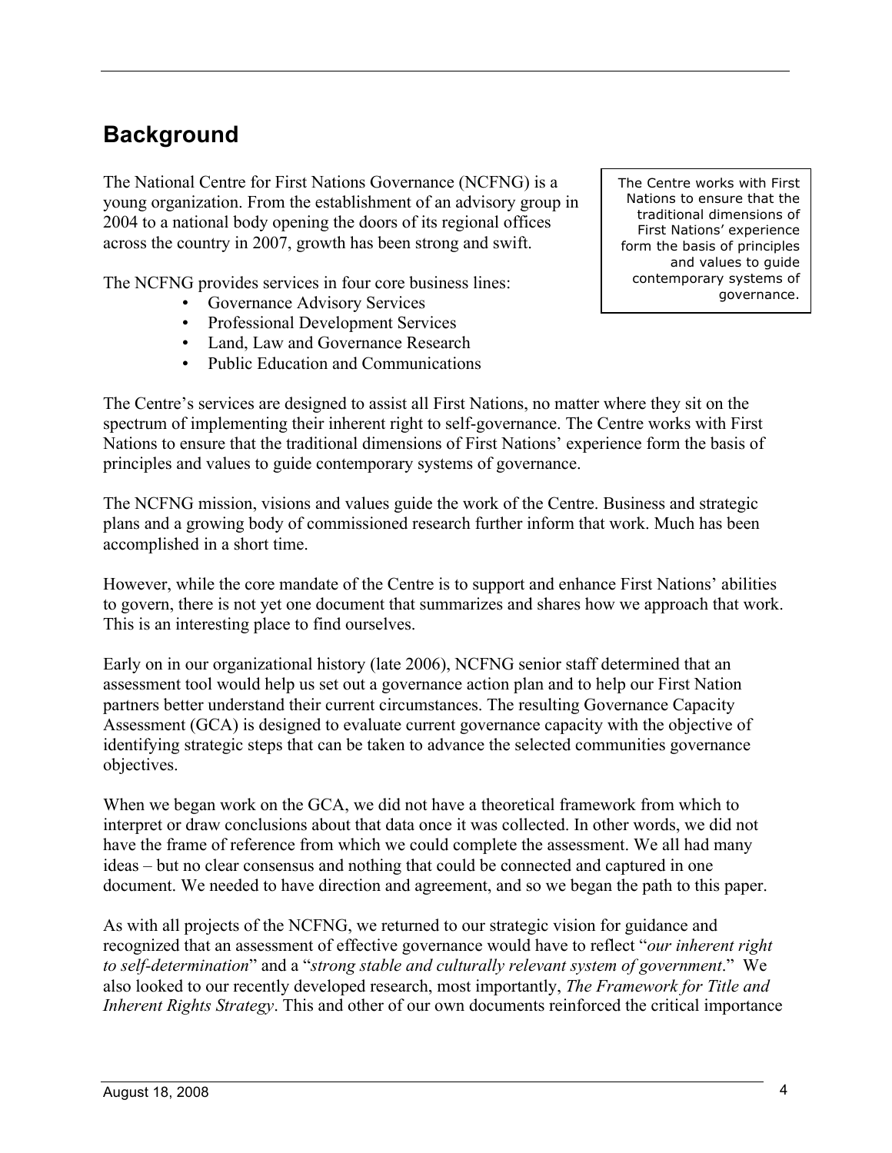# **Background**

The National Centre for First Nations Governance (NCFNG) is a young organization. From the establishment of an advisory group in 2004 to a national body opening the doors of its regional offices across the country in 2007, growth has been strong and swift.

The NCFNG provides services in four core business lines:

- Governance Advisory Services
- Professional Development Services
- Land, Law and Governance Research
- Public Education and Communications

The Centre's services are designed to assist all First Nations, no matter where they sit on the spectrum of implementing their inherent right to self-governance. The Centre works with First Nations to ensure that the traditional dimensions of First Nations' experience form the basis of principles and values to guide contemporary systems of governance.

The NCFNG mission, visions and values guide the work of the Centre. Business and strategic plans and a growing body of commissioned research further inform that work. Much has been accomplished in a short time.

However, while the core mandate of the Centre is to support and enhance First Nations' abilities to govern, there is not yet one document that summarizes and shares how we approach that work. This is an interesting place to find ourselves.

Early on in our organizational history (late 2006), NCFNG senior staff determined that an assessment tool would help us set out a governance action plan and to help our First Nation partners better understand their current circumstances. The resulting Governance Capacity Assessment (GCA) is designed to evaluate current governance capacity with the objective of identifying strategic steps that can be taken to advance the selected communities governance objectives.

When we began work on the GCA, we did not have a theoretical framework from which to interpret or draw conclusions about that data once it was collected. In other words, we did not have the frame of reference from which we could complete the assessment. We all had many ideas – but no clear consensus and nothing that could be connected and captured in one document. We needed to have direction and agreement, and so we began the path to this paper.

As with all projects of the NCFNG, we returned to our strategic vision for guidance and recognized that an assessment of effective governance would have to reflect "*our inherent right to self-determination*" and a "*strong stable and culturally relevant system of government*." We also looked to our recently developed research, most importantly, *The Framework for Title and Inherent Rights Strategy*. This and other of our own documents reinforced the critical importance

The Centre works with First Nations to ensure that the traditional dimensions of First Nations' experience form the basis of principles and values to guide contemporary systems of governance.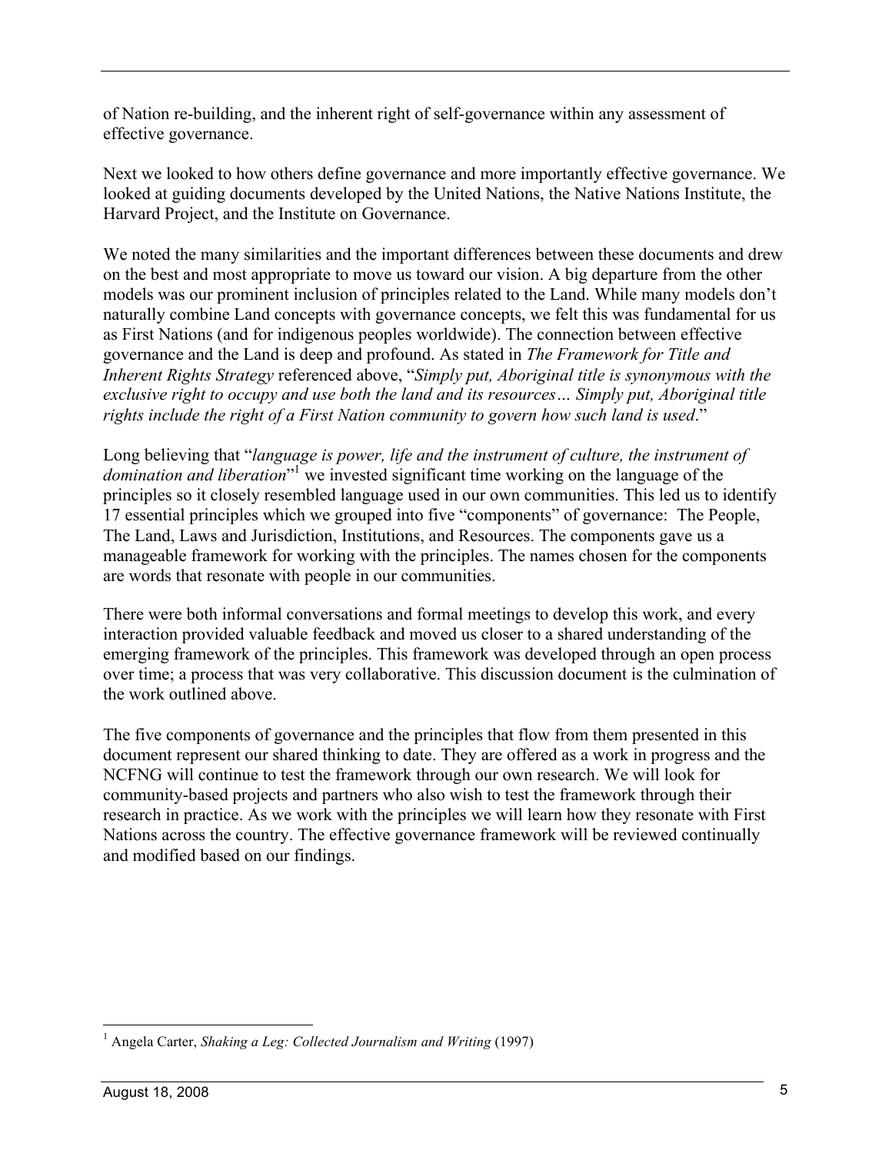of Nation re-building, and the inherent right of self-governance within any assessment of effective governance.

Next we looked to how others define governance and more importantly effective governance. We looked at guiding documents developed by the United Nations, the Native Nations Institute, the Harvard Project, and the Institute on Governance.

We noted the many similarities and the important differences between these documents and drew on the best and most appropriate to move us toward our vision. A big departure from the other models was our prominent inclusion of principles related to the Land. While many models don't naturally combine Land concepts with governance concepts, we felt this was fundamental for us as First Nations (and for indigenous peoples worldwide). The connection between effective governance and the Land is deep and profound. As stated in *The Framework for Title and Inherent Rights Strategy* referenced above, "*Simply put, Aboriginal title is synonymous with the exclusive right to occupy and use both the land and its resources… Simply put, Aboriginal title rights include the right of a First Nation community to govern how such land is used*."

Long believing that "*language is power, life and the instrument of culture, the instrument of domination and liberation*" 1 we invested significant time working on the language of the principles so it closely resembled language used in our own communities. This led us to identify 17 essential principles which we grouped into five "components" of governance: The People, The Land, Laws and Jurisdiction, Institutions, and Resources. The components gave us a manageable framework for working with the principles. The names chosen for the components are words that resonate with people in our communities.

There were both informal conversations and formal meetings to develop this work, and every interaction provided valuable feedback and moved us closer to a shared understanding of the emerging framework of the principles. This framework was developed through an open process over time; a process that was very collaborative. This discussion document is the culmination of the work outlined above.

The five components of governance and the principles that flow from them presented in this document represent our shared thinking to date. They are offered as a work in progress and the NCFNG will continue to test the framework through our own research. We will look for community-based projects and partners who also wish to test the framework through their research in practice. As we work with the principles we will learn how they resonate with First Nations across the country. The effective governance framework will be reviewed continually and modified based on our findings.

 <sup>1</sup> Angela Carter, *Shaking a Leg: Collected Journalism and Writing* (1997)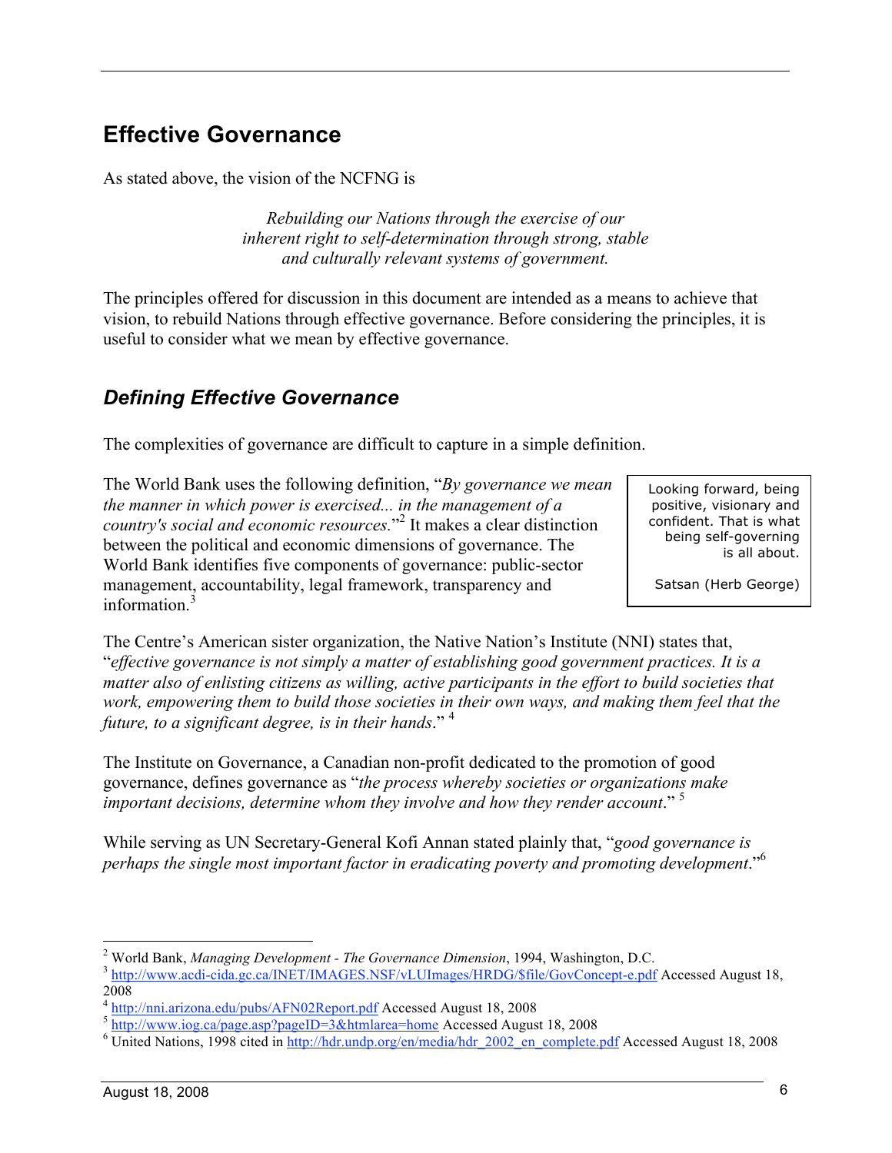### **Effective Governance**

As stated above, the vision of the NCFNG is

*Rebuilding our Nations through the exercise of our inherent right to self-determination through strong, stable and culturally relevant systems of government.*

The principles offered for discussion in this document are intended as a means to achieve that vision, to rebuild Nations through effective governance. Before considering the principles, it is useful to consider what we mean by effective governance.

#### *Defining Effective Governance*

The complexities of governance are difficult to capture in a simple definition.

The World Bank uses the following definition, "*By governance we mean the manner in which power is exercised... in the management of a country's social and economic resources.*" 2 It makes a clear distinction between the political and economic dimensions of governance. The World Bank identifies five components of governance: public-sector management, accountability, legal framework, transparency and information<sup>3</sup>

Looking forward, being positive, visionary and confident. That is what being self-governing is all about.

Satsan (Herb George)

The Centre's American sister organization, the Native Nation's Institute (NNI) states that, "*effective governance is not simply a matter of establishing good government practices. It is a matter also of enlisting citizens as willing, active participants in the effort to build societies that work, empowering them to build those societies in their own ways, and making them feel that the future, to a significant degree, is in their hands*." <sup>4</sup>

The Institute on Governance, a Canadian non-profit dedicated to the promotion of good governance, defines governance as "*the process whereby societies or organizations make important decisions, determine whom they involve and how they render account*." 5

While serving as UN Secretary-General Kofi Annan stated plainly that, "*good governance is perhaps the single most important factor in eradicating poverty and promoting development*."6

 $\frac{1}{2}$ 

<sup>&</sup>lt;sup>2</sup> World Bank, *Managing Development - The Governance Dimension*, 1994, Washington, D.C.<br><sup>3</sup> http://www.acdi-cida.gc.ca/<u>INET/IMAGES.NSF/vLUImages/HRDG/\$file/GovConcept-e.pdf</u> Accessed August 18, 2008<br><sup>4</sup> http://nni.arizona<u>.edu/pubs/AFN02Report.pdf</u> Accessed August 18, 2008

http://www.iog.ca/page.asp?pageID=3&htmlarea=home Accessed August 18, 2008

<sup>&</sup>lt;sup>6</sup> United Nations, 1998 cited in http://hdr.undp.org/en/media/hdr\_2002\_en\_complete.pdf Accessed August 18, 2008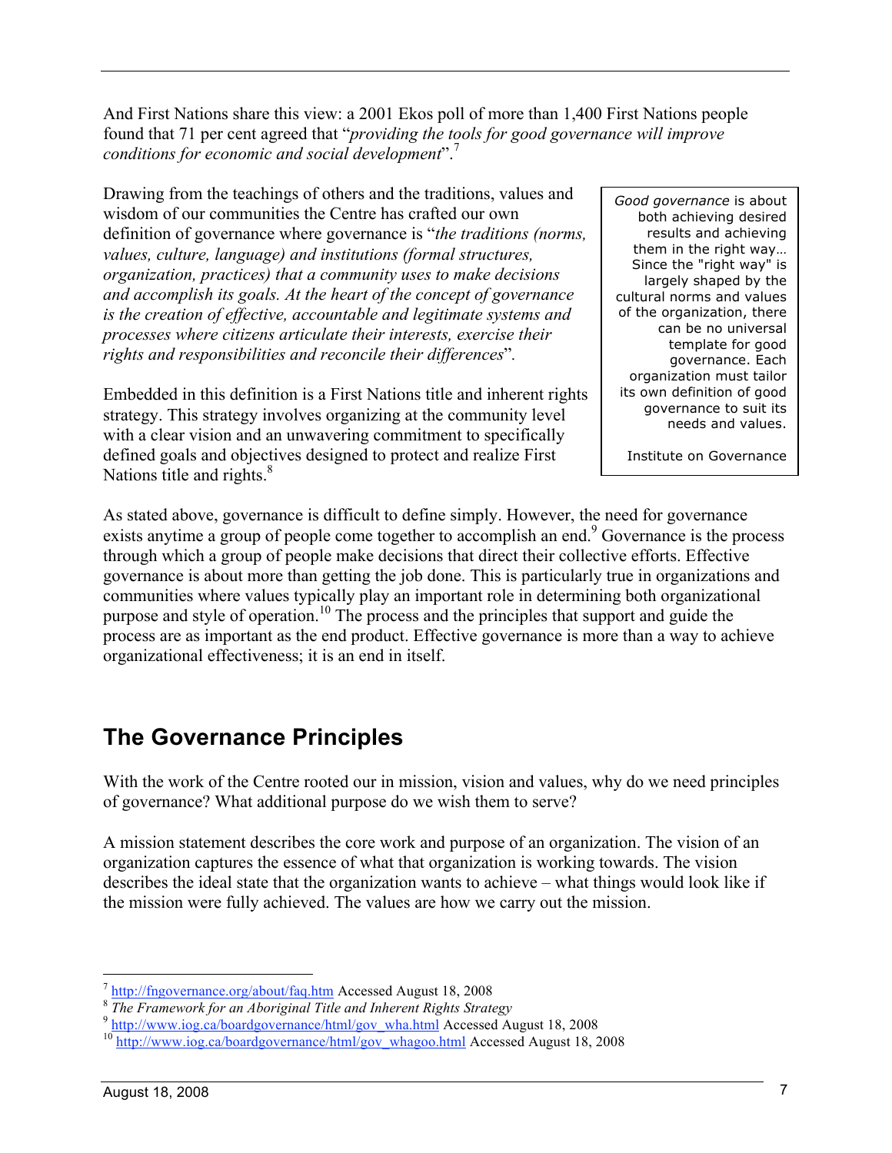And First Nations share this view: a 2001 Ekos poll of more than 1,400 First Nations people found that 71 per cent agreed that "*providing the tools for good governance will improve conditions for economic and social development*".<sup>7</sup>

Drawing from the teachings of others and the traditions, values and wisdom of our communities the Centre has crafted our own definition of governance where governance is "*the traditions (norms, values, culture, language) and institutions (formal structures, organization, practices) that a community uses to make decisions and accomplish its goals. At the heart of the concept of governance is the creation of effective, accountable and legitimate systems and processes where citizens articulate their interests, exercise their rights and responsibilities and reconcile their differences*"*.*

Embedded in this definition is a First Nations title and inherent rights strategy. This strategy involves organizing at the community level with a clear vision and an unwavering commitment to specifically defined goals and objectives designed to protect and realize First Nations title and rights. $8<sup>8</sup>$ 

*Good governance* is about both achieving desired results and achieving them in the right way… Since the "right way" is largely shaped by the cultural norms and values of the organization, there can be no universal template for good governance. Each organization must tailor its own definition of good governance to suit its needs and values.

Institute on Governance

As stated above, governance is difficult to define simply. However, the need for governance exists anytime a group of people come together to accomplish an end.<sup>9</sup> Governance is the process through which a group of people make decisions that direct their collective efforts. Effective governance is about more than getting the job done. This is particularly true in organizations and communities where values typically play an important role in determining both organizational purpose and style of operation.10 The process and the principles that support and guide the process are as important as the end product. Effective governance is more than a way to achieve organizational effectiveness; it is an end in itself.

### **The Governance Principles**

With the work of the Centre rooted our in mission, vision and values, why do we need principles of governance? What additional purpose do we wish them to serve?

A mission statement describes the core work and purpose of an organization. The vision of an organization captures the essence of what that organization is working towards. The vision describes the ideal state that the organization wants to achieve – what things would look like if the mission were fully achieved. The values are how we carry out the mission.

 $\frac{1}{2} \frac{http://fngovernance.org/about/faq.htm}{\frac{1}{2} \text{Re Framework for an Aboriginal Title and Inherent Rights Strategy}}$   $\frac{1}{2} \frac{http://www.iog.ca/boardgovernance/html/gov_wha.html}{http://www.iog.ca/boardgovernance/html/gov_wha.html}$ Accessed August 18, 2008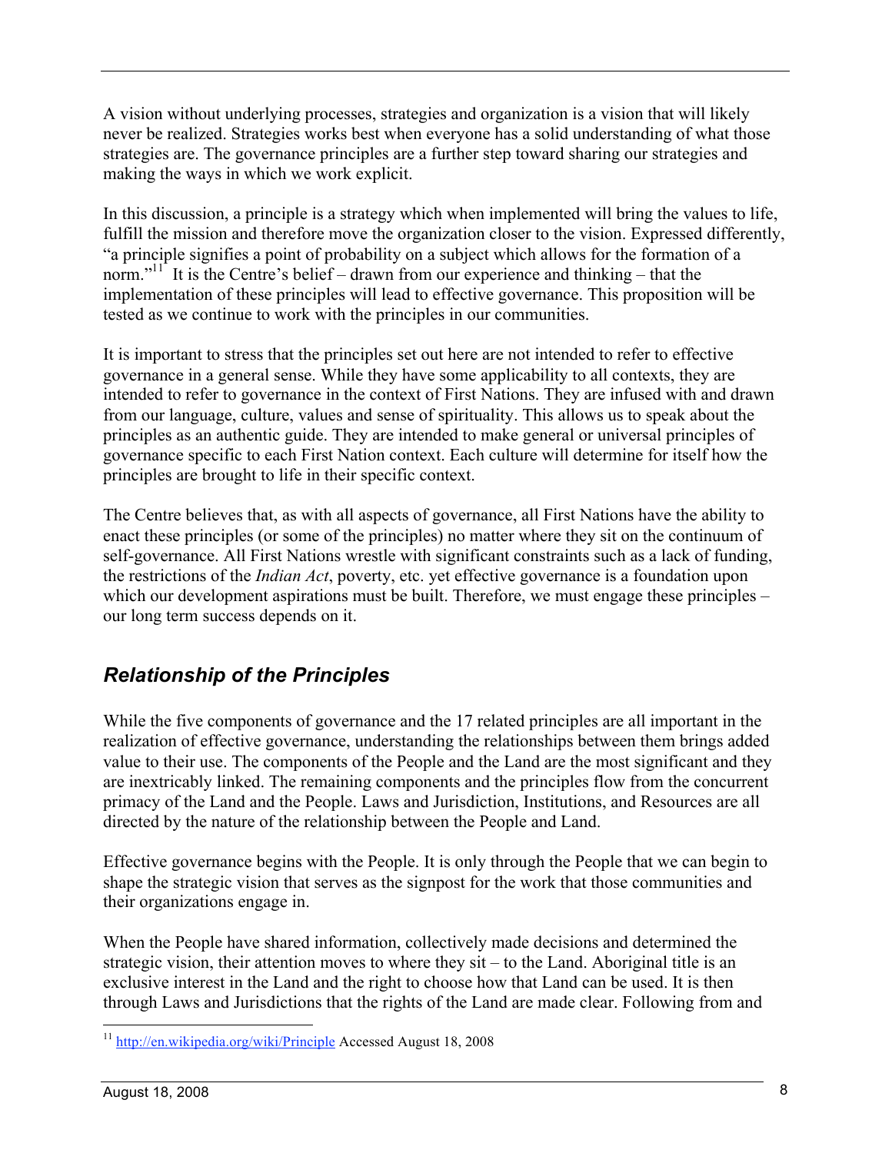A vision without underlying processes, strategies and organization is a vision that will likely never be realized. Strategies works best when everyone has a solid understanding of what those strategies are. The governance principles are a further step toward sharing our strategies and making the ways in which we work explicit.

In this discussion, a principle is a strategy which when implemented will bring the values to life, fulfill the mission and therefore move the organization closer to the vision. Expressed differently, "a principle signifies a point of probability on a subject which allows for the formation of a norm."<sup>11</sup> It is the Centre's belief – drawn from our experience and thinking – that the implementation of these principles will lead to effective governance. This proposition will be tested as we continue to work with the principles in our communities.

It is important to stress that the principles set out here are not intended to refer to effective governance in a general sense. While they have some applicability to all contexts, they are intended to refer to governance in the context of First Nations. They are infused with and drawn from our language, culture, values and sense of spirituality. This allows us to speak about the principles as an authentic guide. They are intended to make general or universal principles of governance specific to each First Nation context. Each culture will determine for itself how the principles are brought to life in their specific context.

The Centre believes that, as with all aspects of governance, all First Nations have the ability to enact these principles (or some of the principles) no matter where they sit on the continuum of self-governance. All First Nations wrestle with significant constraints such as a lack of funding, the restrictions of the *Indian Act*, poverty, etc. yet effective governance is a foundation upon which our development aspirations must be built. Therefore, we must engage these principles – our long term success depends on it.

### *Relationship of the Principles*

While the five components of governance and the 17 related principles are all important in the realization of effective governance, understanding the relationships between them brings added value to their use. The components of the People and the Land are the most significant and they are inextricably linked. The remaining components and the principles flow from the concurrent primacy of the Land and the People. Laws and Jurisdiction, Institutions, and Resources are all directed by the nature of the relationship between the People and Land.

Effective governance begins with the People. It is only through the People that we can begin to shape the strategic vision that serves as the signpost for the work that those communities and their organizations engage in.

When the People have shared information, collectively made decisions and determined the strategic vision, their attention moves to where they sit – to the Land. Aboriginal title is an exclusive interest in the Land and the right to choose how that Land can be used. It is then through Laws and Jurisdictions that the rights of the Land are made clear. Following from and

 <sup>11</sup> http://en.wikipedia.org/wiki/Principle Accessed August 18, 2008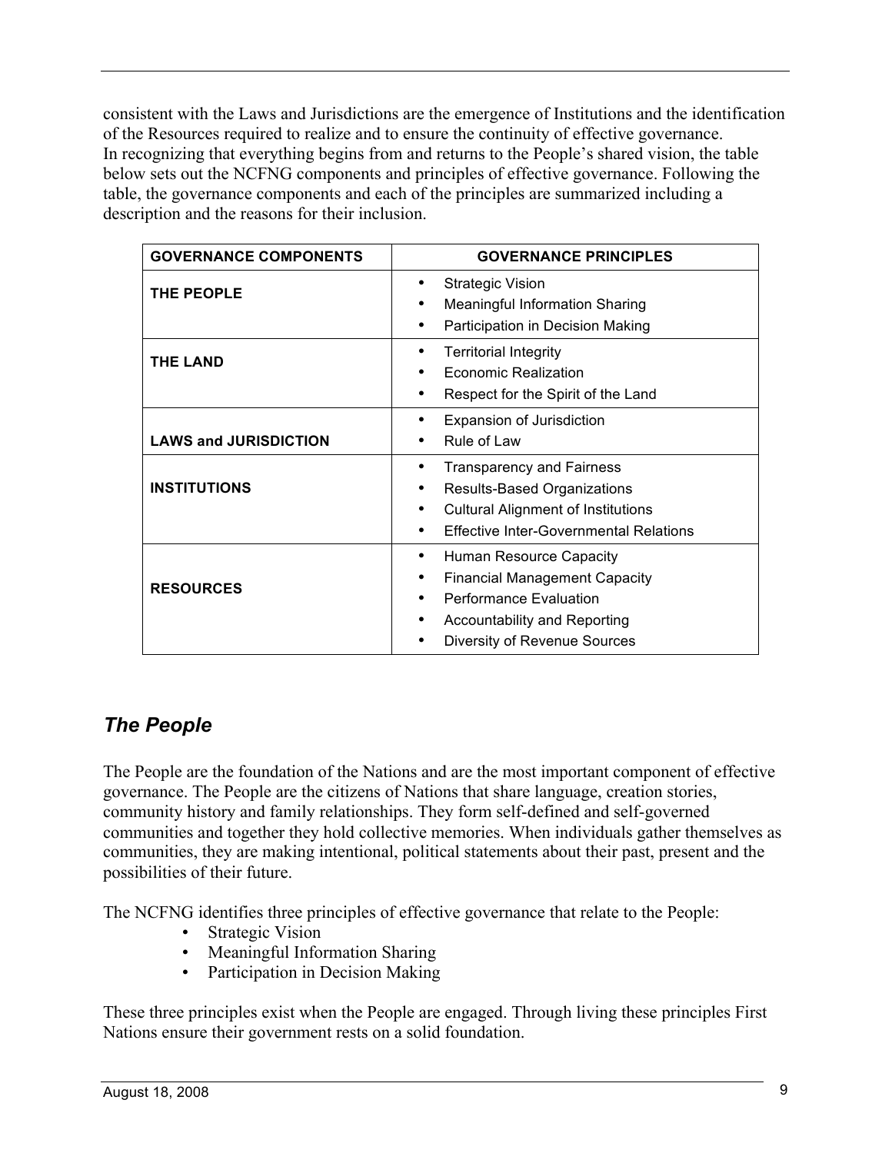consistent with the Laws and Jurisdictions are the emergence of Institutions and the identification of the Resources required to realize and to ensure the continuity of effective governance. In recognizing that everything begins from and returns to the People's shared vision, the table below sets out the NCFNG components and principles of effective governance. Following the table, the governance components and each of the principles are summarized including a description and the reasons for their inclusion.

| <b>GOVERNANCE COMPONENTS</b> | <b>GOVERNANCE PRINCIPLES</b>                                                                                                                                                 |
|------------------------------|------------------------------------------------------------------------------------------------------------------------------------------------------------------------------|
| THE PEOPLE                   | Strategic Vision<br><b>Meaningful Information Sharing</b><br>Participation in Decision Making                                                                                |
| <b>THE LAND</b>              | <b>Territorial Integrity</b><br>Economic Realization<br>Respect for the Spirit of the Land                                                                                   |
| <b>LAWS and JURISDICTION</b> | <b>Expansion of Jurisdiction</b><br>Rule of Law                                                                                                                              |
| <b>INSTITUTIONS</b>          | Transparency and Fairness<br>Results-Based Organizations<br><b>Cultural Alignment of Institutions</b><br><b>Effective Inter-Governmental Relations</b>                       |
| <b>RESOURCES</b>             | Human Resource Capacity<br>٠<br><b>Financial Management Capacity</b><br><b>Performance Evaluation</b><br><b>Accountability and Reporting</b><br>Diversity of Revenue Sources |

### *The People*

The People are the foundation of the Nations and are the most important component of effective governance. The People are the citizens of Nations that share language, creation stories, community history and family relationships. They form self-defined and self-governed communities and together they hold collective memories. When individuals gather themselves as communities, they are making intentional, political statements about their past, present and the possibilities of their future.

The NCFNG identifies three principles of effective governance that relate to the People:

- Strategic Vision
- Meaningful Information Sharing
- Participation in Decision Making

These three principles exist when the People are engaged. Through living these principles First Nations ensure their government rests on a solid foundation.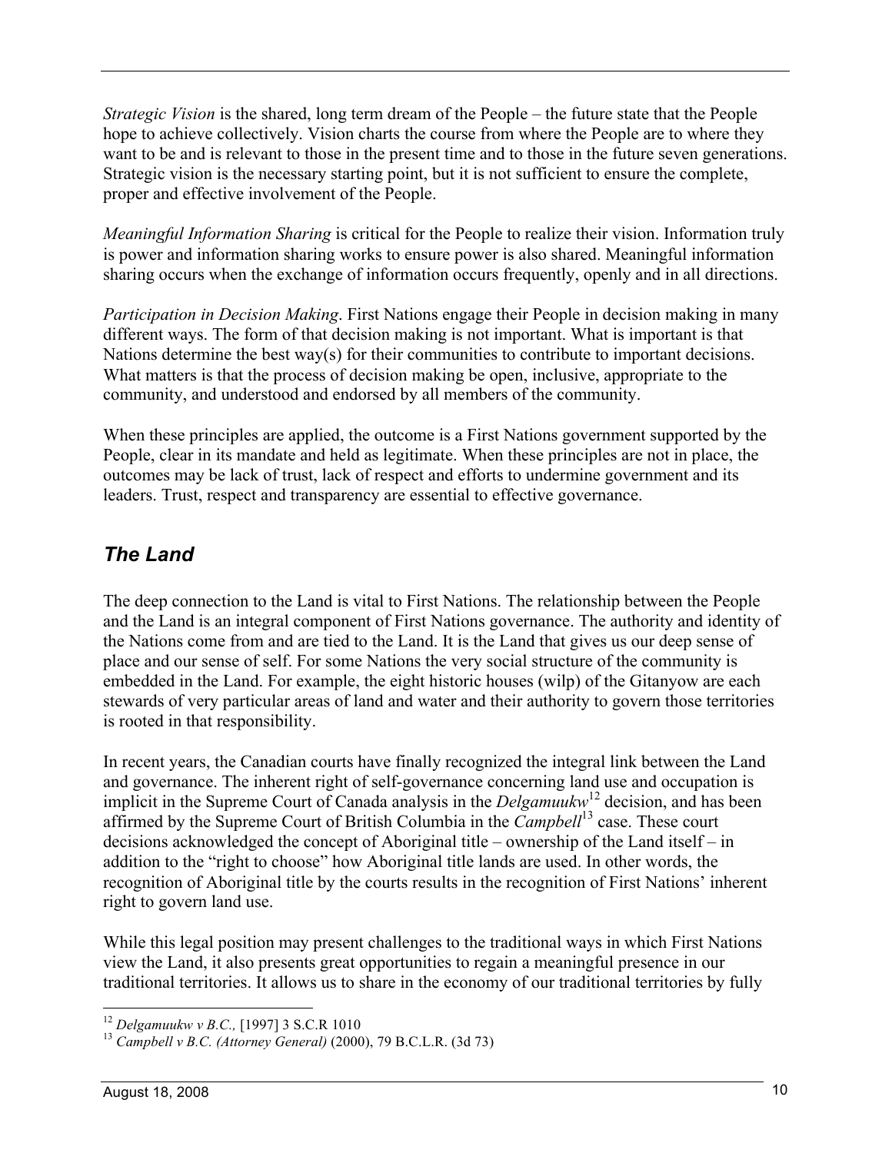*Strategic Vision* is the shared, long term dream of the People – the future state that the People hope to achieve collectively. Vision charts the course from where the People are to where they want to be and is relevant to those in the present time and to those in the future seven generations. Strategic vision is the necessary starting point, but it is not sufficient to ensure the complete, proper and effective involvement of the People.

*Meaningful Information Sharing* is critical for the People to realize their vision. Information truly is power and information sharing works to ensure power is also shared. Meaningful information sharing occurs when the exchange of information occurs frequently, openly and in all directions.

*Participation in Decision Making*. First Nations engage their People in decision making in many different ways. The form of that decision making is not important. What is important is that Nations determine the best way(s) for their communities to contribute to important decisions. What matters is that the process of decision making be open, inclusive, appropriate to the community, and understood and endorsed by all members of the community.

When these principles are applied, the outcome is a First Nations government supported by the People, clear in its mandate and held as legitimate. When these principles are not in place, the outcomes may be lack of trust, lack of respect and efforts to undermine government and its leaders. Trust, respect and transparency are essential to effective governance.

### *The Land*

The deep connection to the Land is vital to First Nations. The relationship between the People and the Land is an integral component of First Nations governance. The authority and identity of the Nations come from and are tied to the Land. It is the Land that gives us our deep sense of place and our sense of self. For some Nations the very social structure of the community is embedded in the Land. For example, the eight historic houses (wilp) of the Gitanyow are each stewards of very particular areas of land and water and their authority to govern those territories is rooted in that responsibility.

In recent years, the Canadian courts have finally recognized the integral link between the Land and governance. The inherent right of self-governance concerning land use and occupation is implicit in the Supreme Court of Canada analysis in the *Delgamuukw*<sup>12</sup> decision, and has been affirmed by the Supreme Court of British Columbia in the *Campbell*<sup>13</sup> case. These court decisions acknowledged the concept of Aboriginal title – ownership of the Land itself – in addition to the "right to choose" how Aboriginal title lands are used. In other words, the recognition of Aboriginal title by the courts results in the recognition of First Nations' inherent right to govern land use.

While this legal position may present challenges to the traditional ways in which First Nations view the Land, it also presents great opportunities to regain a meaningful presence in our traditional territories. It allows us to share in the economy of our traditional territories by fully

<sup>&</sup>lt;sup>12</sup> *Delgamuukw v B.C.*, [1997] 3 S.C.R 1010<br><sup>13</sup> *Campbell v B.C. (Attorney General)* (2000), 79 B.C.L.R. (3d 73)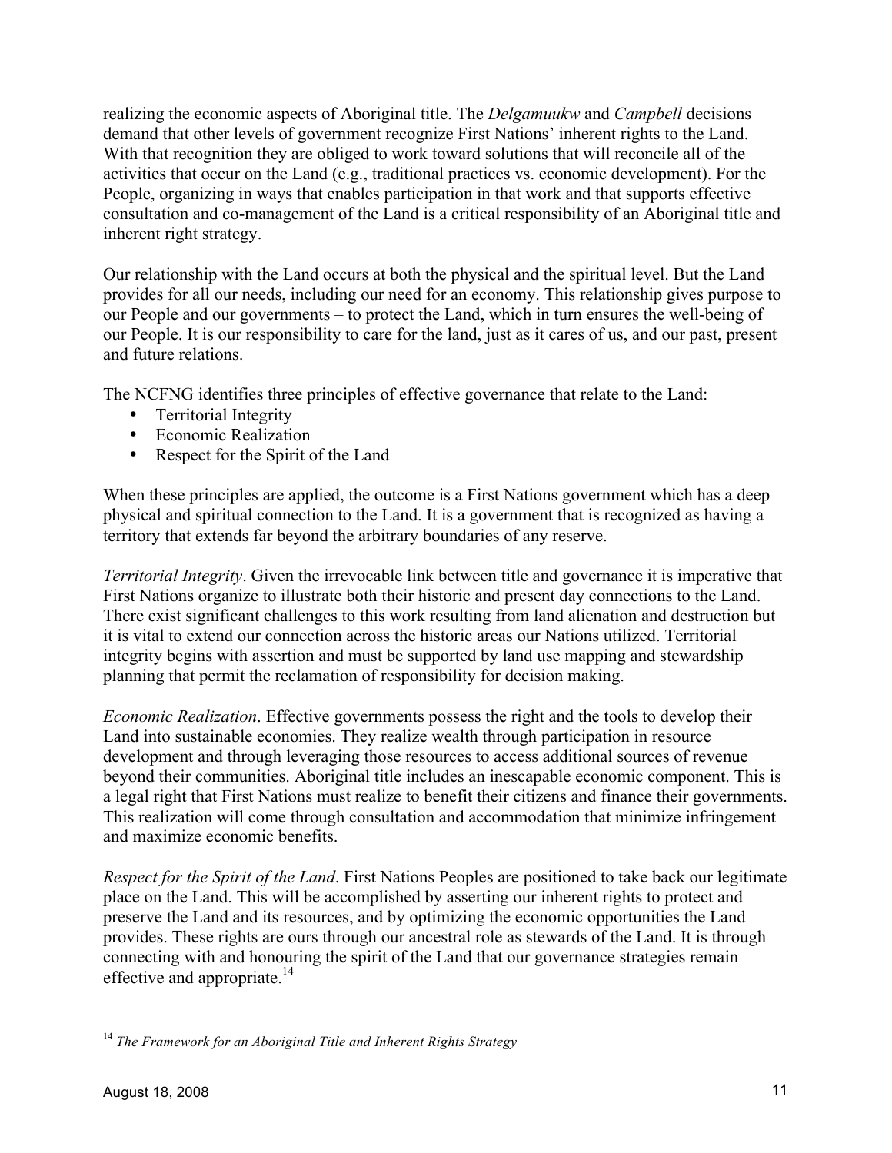realizing the economic aspects of Aboriginal title. The *Delgamuukw* and *Campbell* decisions demand that other levels of government recognize First Nations' inherent rights to the Land. With that recognition they are obliged to work toward solutions that will reconcile all of the activities that occur on the Land (e.g., traditional practices vs. economic development). For the People, organizing in ways that enables participation in that work and that supports effective consultation and co-management of the Land is a critical responsibility of an Aboriginal title and inherent right strategy.

Our relationship with the Land occurs at both the physical and the spiritual level. But the Land provides for all our needs, including our need for an economy. This relationship gives purpose to our People and our governments – to protect the Land, which in turn ensures the well-being of our People. It is our responsibility to care for the land, just as it cares of us, and our past, present and future relations.

The NCFNG identifies three principles of effective governance that relate to the Land:

- Territorial Integrity
- Economic Realization
- Respect for the Spirit of the Land

When these principles are applied, the outcome is a First Nations government which has a deep physical and spiritual connection to the Land. It is a government that is recognized as having a territory that extends far beyond the arbitrary boundaries of any reserve.

*Territorial Integrity*. Given the irrevocable link between title and governance it is imperative that First Nations organize to illustrate both their historic and present day connections to the Land. There exist significant challenges to this work resulting from land alienation and destruction but it is vital to extend our connection across the historic areas our Nations utilized. Territorial integrity begins with assertion and must be supported by land use mapping and stewardship planning that permit the reclamation of responsibility for decision making.

*Economic Realization*. Effective governments possess the right and the tools to develop their Land into sustainable economies. They realize wealth through participation in resource development and through leveraging those resources to access additional sources of revenue beyond their communities. Aboriginal title includes an inescapable economic component. This is a legal right that First Nations must realize to benefit their citizens and finance their governments. This realization will come through consultation and accommodation that minimize infringement and maximize economic benefits.

*Respect for the Spirit of the Land*. First Nations Peoples are positioned to take back our legitimate place on the Land. This will be accomplished by asserting our inherent rights to protect and preserve the Land and its resources, and by optimizing the economic opportunities the Land provides. These rights are ours through our ancestral role as stewards of the Land. It is through connecting with and honouring the spirit of the Land that our governance strategies remain effective and appropriate.<sup>14</sup>

 <sup>14</sup> *The Framework for an Aboriginal Title and Inherent Rights Strategy*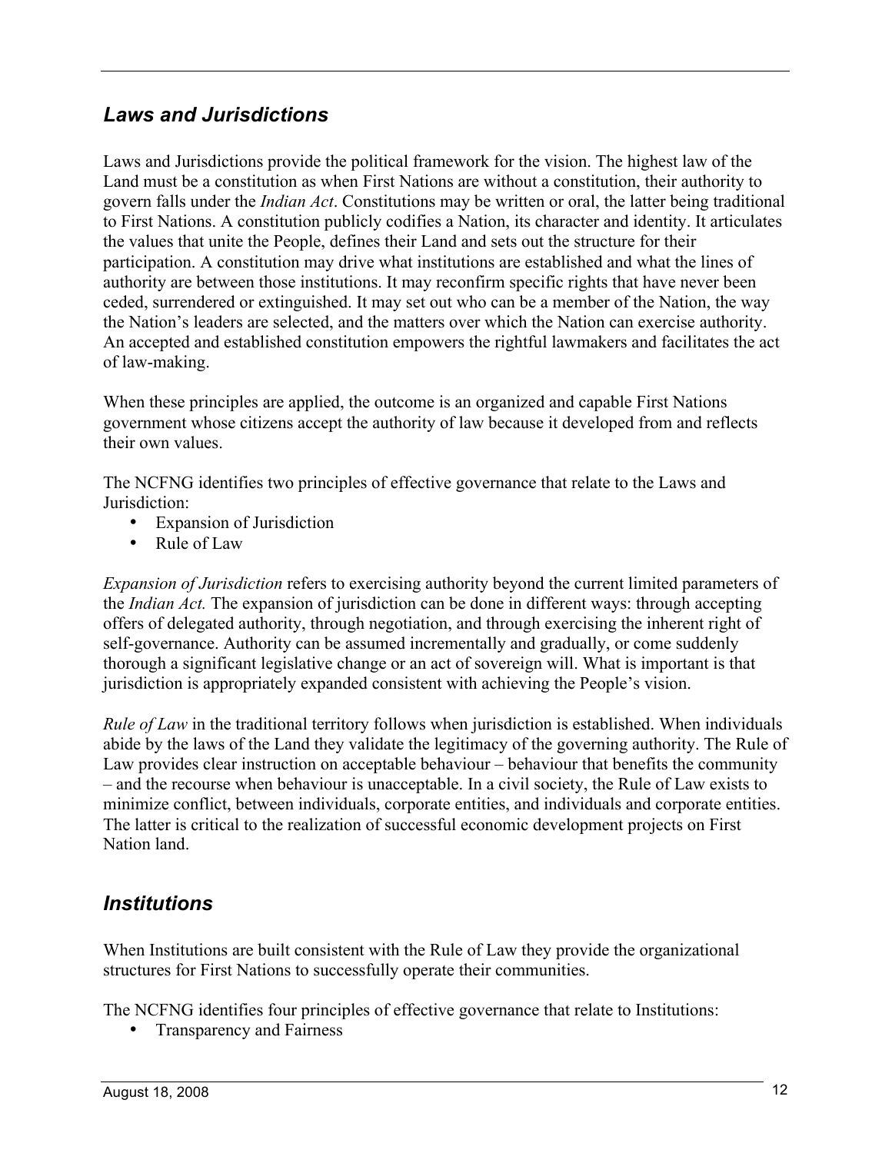#### *Laws and Jurisdictions*

Laws and Jurisdictions provide the political framework for the vision. The highest law of the Land must be a constitution as when First Nations are without a constitution, their authority to govern falls under the *Indian Act*. Constitutions may be written or oral, the latter being traditional to First Nations. A constitution publicly codifies a Nation, its character and identity. It articulates the values that unite the People, defines their Land and sets out the structure for their participation. A constitution may drive what institutions are established and what the lines of authority are between those institutions. It may reconfirm specific rights that have never been ceded, surrendered or extinguished. It may set out who can be a member of the Nation, the way the Nation's leaders are selected, and the matters over which the Nation can exercise authority. An accepted and established constitution empowers the rightful lawmakers and facilitates the act of law-making.

When these principles are applied, the outcome is an organized and capable First Nations government whose citizens accept the authority of law because it developed from and reflects their own values.

The NCFNG identifies two principles of effective governance that relate to the Laws and Jurisdiction:

- Expansion of Jurisdiction
- Rule of Law

*Expansion of Jurisdiction* refers to exercising authority beyond the current limited parameters of the *Indian Act.* The expansion of jurisdiction can be done in different ways: through accepting offers of delegated authority, through negotiation, and through exercising the inherent right of self-governance. Authority can be assumed incrementally and gradually, or come suddenly thorough a significant legislative change or an act of sovereign will. What is important is that jurisdiction is appropriately expanded consistent with achieving the People's vision.

*Rule of Law* in the traditional territory follows when jurisdiction is established. When individuals abide by the laws of the Land they validate the legitimacy of the governing authority. The Rule of Law provides clear instruction on acceptable behaviour – behaviour that benefits the community – and the recourse when behaviour is unacceptable. In a civil society, the Rule of Law exists to minimize conflict, between individuals, corporate entities, and individuals and corporate entities. The latter is critical to the realization of successful economic development projects on First Nation land.

#### *Institutions*

When Institutions are built consistent with the Rule of Law they provide the organizational structures for First Nations to successfully operate their communities.

The NCFNG identifies four principles of effective governance that relate to Institutions:

• Transparency and Fairness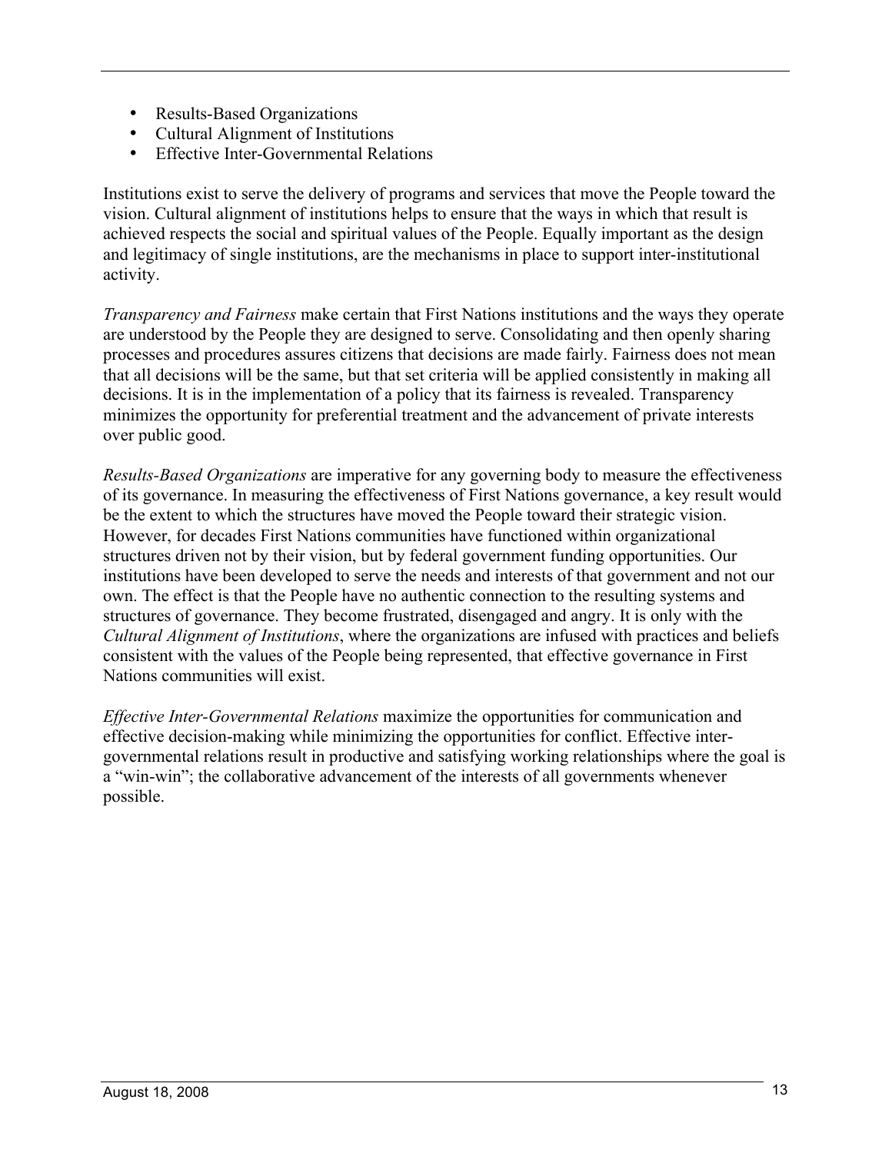- Results-Based Organizations
- Cultural Alignment of Institutions
- Effective Inter-Governmental Relations

Institutions exist to serve the delivery of programs and services that move the People toward the vision. Cultural alignment of institutions helps to ensure that the ways in which that result is achieved respects the social and spiritual values of the People. Equally important as the design and legitimacy of single institutions, are the mechanisms in place to support inter-institutional activity.

*Transparency and Fairness* make certain that First Nations institutions and the ways they operate are understood by the People they are designed to serve. Consolidating and then openly sharing processes and procedures assures citizens that decisions are made fairly. Fairness does not mean that all decisions will be the same, but that set criteria will be applied consistently in making all decisions. It is in the implementation of a policy that its fairness is revealed. Transparency minimizes the opportunity for preferential treatment and the advancement of private interests over public good.

*Results-Based Organizations* are imperative for any governing body to measure the effectiveness of its governance. In measuring the effectiveness of First Nations governance, a key result would be the extent to which the structures have moved the People toward their strategic vision. However, for decades First Nations communities have functioned within organizational structures driven not by their vision, but by federal government funding opportunities. Our institutions have been developed to serve the needs and interests of that government and not our own. The effect is that the People have no authentic connection to the resulting systems and structures of governance. They become frustrated, disengaged and angry. It is only with the *Cultural Alignment of Institutions*, where the organizations are infused with practices and beliefs consistent with the values of the People being represented, that effective governance in First Nations communities will exist.

*Effective Inter-Governmental Relations* maximize the opportunities for communication and effective decision-making while minimizing the opportunities for conflict. Effective intergovernmental relations result in productive and satisfying working relationships where the goal is a "win-win"; the collaborative advancement of the interests of all governments whenever possible.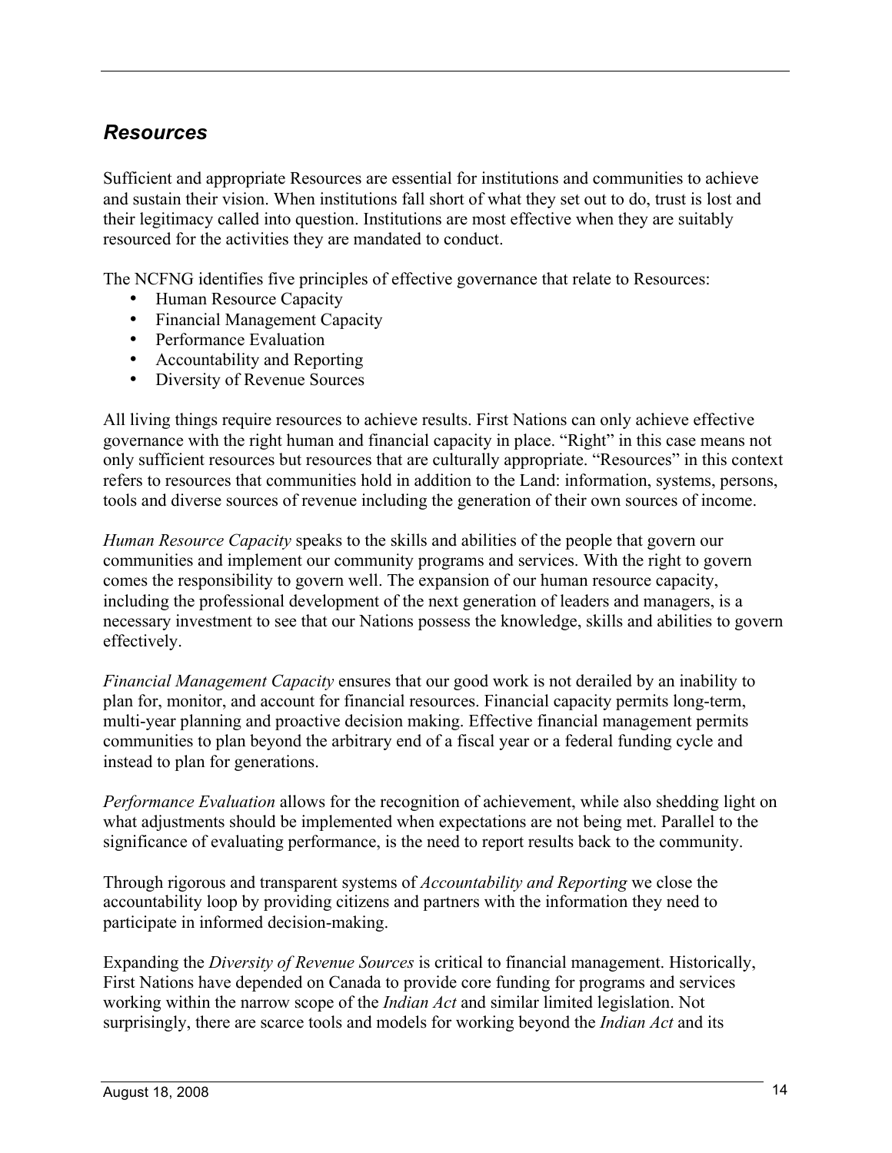#### *Resources*

Sufficient and appropriate Resources are essential for institutions and communities to achieve and sustain their vision. When institutions fall short of what they set out to do, trust is lost and their legitimacy called into question. Institutions are most effective when they are suitably resourced for the activities they are mandated to conduct.

The NCFNG identifies five principles of effective governance that relate to Resources:

- Human Resource Capacity
- Financial Management Capacity
- Performance Evaluation
- Accountability and Reporting
- Diversity of Revenue Sources

All living things require resources to achieve results. First Nations can only achieve effective governance with the right human and financial capacity in place. "Right" in this case means not only sufficient resources but resources that are culturally appropriate. "Resources" in this context refers to resources that communities hold in addition to the Land: information, systems, persons, tools and diverse sources of revenue including the generation of their own sources of income.

*Human Resource Capacity* speaks to the skills and abilities of the people that govern our communities and implement our community programs and services. With the right to govern comes the responsibility to govern well. The expansion of our human resource capacity, including the professional development of the next generation of leaders and managers, is a necessary investment to see that our Nations possess the knowledge, skills and abilities to govern effectively.

*Financial Management Capacity* ensures that our good work is not derailed by an inability to plan for, monitor, and account for financial resources. Financial capacity permits long-term, multi-year planning and proactive decision making. Effective financial management permits communities to plan beyond the arbitrary end of a fiscal year or a federal funding cycle and instead to plan for generations.

*Performance Evaluation* allows for the recognition of achievement, while also shedding light on what adjustments should be implemented when expectations are not being met. Parallel to the significance of evaluating performance, is the need to report results back to the community.

Through rigorous and transparent systems of *Accountability and Reporting* we close the accountability loop by providing citizens and partners with the information they need to participate in informed decision-making.

Expanding the *Diversity of Revenue Sources* is critical to financial management. Historically, First Nations have depended on Canada to provide core funding for programs and services working within the narrow scope of the *Indian Act* and similar limited legislation. Not surprisingly, there are scarce tools and models for working beyond the *Indian Act* and its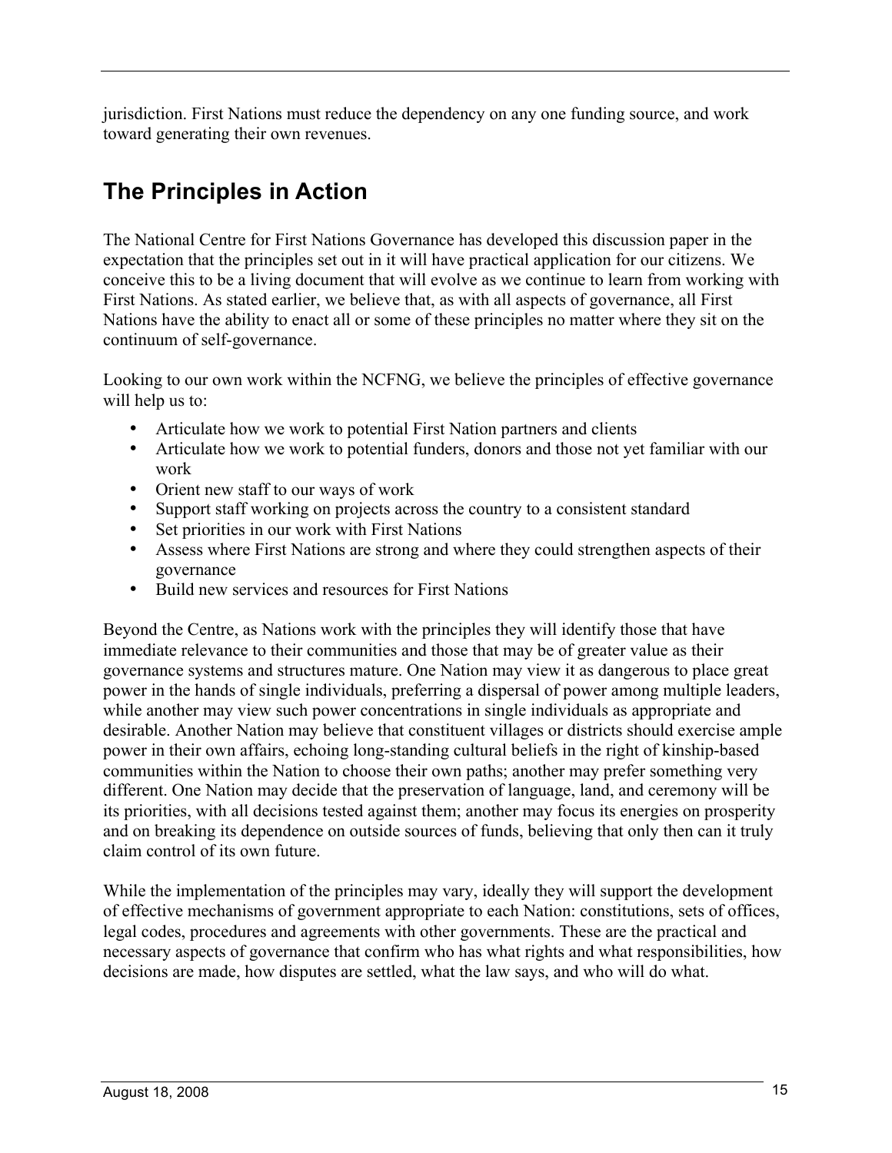jurisdiction. First Nations must reduce the dependency on any one funding source, and work toward generating their own revenues.

# **The Principles in Action**

The National Centre for First Nations Governance has developed this discussion paper in the expectation that the principles set out in it will have practical application for our citizens. We conceive this to be a living document that will evolve as we continue to learn from working with First Nations. As stated earlier, we believe that, as with all aspects of governance, all First Nations have the ability to enact all or some of these principles no matter where they sit on the continuum of self-governance.

Looking to our own work within the NCFNG, we believe the principles of effective governance will help us to:

- Articulate how we work to potential First Nation partners and clients
- Articulate how we work to potential funders, donors and those not yet familiar with our work
- Orient new staff to our ways of work
- Support staff working on projects across the country to a consistent standard
- Set priorities in our work with First Nations<br>• Assess where First Nations are strong and w
- Assess where First Nations are strong and where they could strengthen aspects of their governance
- Build new services and resources for First Nations

Beyond the Centre, as Nations work with the principles they will identify those that have immediate relevance to their communities and those that may be of greater value as their governance systems and structures mature. One Nation may view it as dangerous to place great power in the hands of single individuals, preferring a dispersal of power among multiple leaders, while another may view such power concentrations in single individuals as appropriate and desirable. Another Nation may believe that constituent villages or districts should exercise ample power in their own affairs, echoing long-standing cultural beliefs in the right of kinship-based communities within the Nation to choose their own paths; another may prefer something very different. One Nation may decide that the preservation of language, land, and ceremony will be its priorities, with all decisions tested against them; another may focus its energies on prosperity and on breaking its dependence on outside sources of funds, believing that only then can it truly claim control of its own future.

While the implementation of the principles may vary, ideally they will support the development of effective mechanisms of government appropriate to each Nation: constitutions, sets of offices, legal codes, procedures and agreements with other governments. These are the practical and necessary aspects of governance that confirm who has what rights and what responsibilities, how decisions are made, how disputes are settled, what the law says, and who will do what.